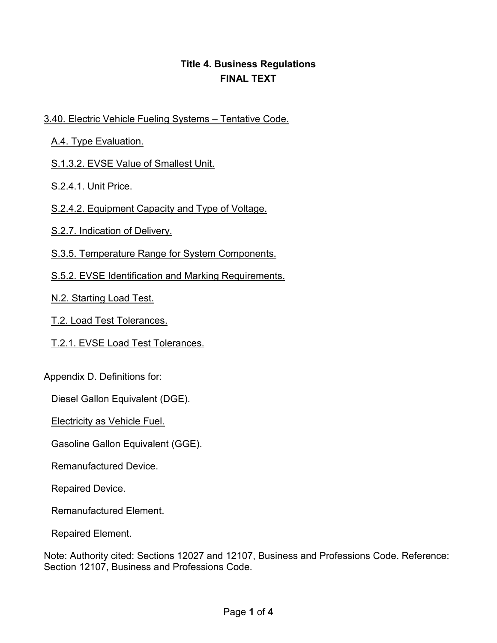## **Title 4. Business Regulations FINAL TEXT**

## 3.40. Electric Vehicle Fueling Systems – Tentative Code.

A.4. Type Evaluation.

S.1.3.2. EVSE Value of Smallest Unit.

S.2.4.1. Unit Price.

S.2.4.2. Equipment Capacity and Type of Voltage.

S.2.7. Indication of Delivery.

S.3.5. Temperature Range for System Components.

S.5.2. EVSE Identification and Marking Requirements.

N.2. Starting Load Test.

T.2. Load Test Tolerances.

T.2.1. EVSE Load Test Tolerances.

Appendix D. Definitions for:

Diesel Gallon Equivalent (DGE).

Electricity as Vehicle Fuel.

Gasoline Gallon Equivalent (GGE).

Remanufactured Device.

Repaired Device.

Remanufactured Element.

Repaired Element.

Note: Authority cited: Sections 12027 and 12107, Business and Professions Code. Reference: Section 12107, Business and Professions Code.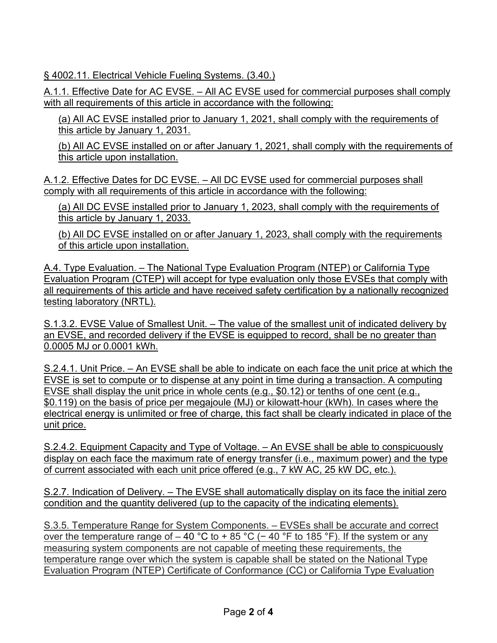§ 4002.11. Electrical Vehicle Fueling Systems. (3.40.)

A.1.1. Effective Date for AC EVSE. – All AC EVSE used for commercial purposes shall comply with all requirements of this article in accordance with the following:

 (a) All AC EVSE installed prior to January 1, 2021, shall comply with the requirements of this article by January 1, 2031.

 (b) All AC EVSE installed on or after January 1, 2021, shall comply with the requirements of this article upon installation.

A.1.2. Effective Dates for DC EVSE. – All DC EVSE used for commercial purposes shall comply with all requirements of this article in accordance with the following:

 (a) All DC EVSE installed prior to January 1, 2023, shall comply with the requirements of this article by January 1, 2033.

(b) All DC EVSE installed on or after January 1, 2023, shall comply with the requirements of this article upon installation.

A.4. Type Evaluation. - The National Type Evaluation Program (NTEP) or California Type Evaluation Program (CTEP) will accept for type evaluation only those EVSEs that comply with all requirements of this article and have received safety certification by a nationally recognized testing laboratory (NRTL).

S.1.3.2. EVSE Value of Smallest Unit. – The value of the smallest unit of indicated delivery by an EVSE, and recorded delivery if the EVSE is equipped to record, shall be no greater than 0.0005 MJ or 0.0001 kWh.

S.2.4.1. Unit Price. – An EVSE shall be able to indicate on each face the unit price at which the EVSE is set to compute or to dispense at any point in time during a transaction. A computing EVSE shall display the unit price in whole cents (e.g., \$0.12) or tenths of one cent (e.g., \$0.119) on the basis of price per megajoule (MJ) or kilowatt-hour (kWh). In cases where the electrical energy is unlimited or free of charge, this fact shall be clearly indicated in place of the unit price.

 S.2.4.2. Equipment Capacity and Type of Voltage. – An EVSE shall be able to conspicuously of current associated with each unit price offered (e.g., 7 kW AC, 25 kW DC, etc.). display on each face the maximum rate of energy transfer (i.e., maximum power) and the type

 S.2.7. Indication of Delivery. – The EVSE shall automatically display on its face the initial zero condition and the quantity delivered (up to the capacity of the indicating elements).

 S.3.5. Temperature Range for System Components. – EVSEs shall be accurate and correct over the temperature range of – 40 °C to + 85 °C (− 40 °F to 185 °F). If the system or any Evaluation Program (NTEP) Certificate of Conformance (CC) or California Type Evaluation measuring system components are not capable of meeting these requirements, the temperature range over which the system is capable shall be stated on the National Type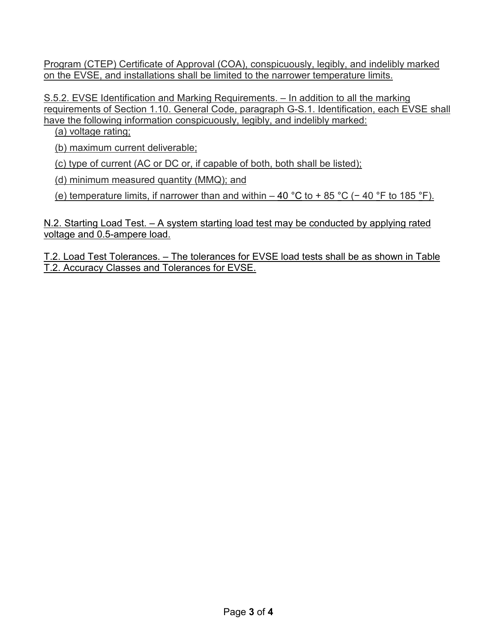Program (CTEP) Certificate of Approval (COA), conspicuously, legibly, and indelibly marked on the EVSE, and installations shall be limited to the narrower temperature limits.

 requirements of Section 1.10. General Code, paragraph G-S.1. Identification, each EVSE shall S.5.2. EVSE Identification and Marking Requirements. – In addition to all the marking have the following information conspicuously, legibly, and indelibly marked:

(a) voltage rating;

(b) maximum current deliverable;

(c) type of current (AC or DC or, if capable of both, both shall be listed);

(d) minimum measured quantity (MMQ); and

(e) temperature limits, if narrower than and within – 40 °C to + 85 °C (− 40 °F to 185 °F).

N.2. Starting Load Test. – A system starting load test may be conducted by applying rated voltage and 0.5-ampere load.

 T.2. Accuracy Classes and Tolerances for EVSE. T.2. Load Test Tolerances. – The tolerances for EVSE load tests shall be as shown in Table